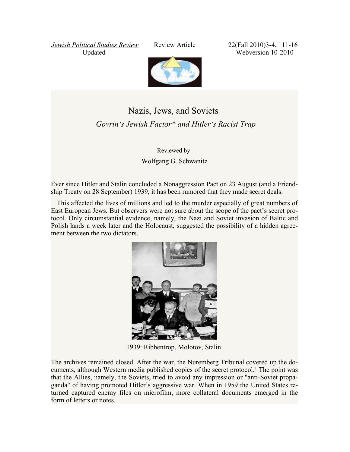*[Jewish Political Studies Review](http://www.jcpa.org/JCPA/Templates/showpage.asp?DBID=1&LNGID=1&TMID=84&FID=625)* Review Article 22(Fall 2010)3-4, 111-16

Updated Webversion 10-2010



# Nazis, Jews, and Soviets *Govrin's Jewish Factor\* and Hitler's Racist Trap*

## Reviewed by Wolfgang G. Schwanitz

Ever since Hitler and Stalin concluded a Nonaggression Pact on 23 August (and a Friendship Treaty on 28 September) 1939, it has been rumored that they made secret deals.

This affected the lives of millions and led to the murder especially of great numbers of East European Jews*.* But observers were not sure about the scope of the pact's secret protocol. Only circumstantial evidence, namely, the Nazi and Soviet invasion of Baltic and Polish lands a week later and the Holocaust, suggested the possibility of a hidden agreement between the two dictators.



[1939:](http://en.wikipedia.org/wiki/Molotov-Ribbentrop_Pact) Ribbentrop, Molotov, Stalin

The archives remained closed. After the war, the Nuremberg Tribunal covered up the documents, although Western media published copies of the secret protocol.<sup>1</sup> The point was that the Allies, namely, the Soviets, tried to avoid any impression or "anti-Soviet propaganda" of having promoted Hitler's aggressive war. When in 1959 the [United](http://www.trafoberlin.de/pdf-dateien/2010_06_16/Richard Breitman McDonald Papers.pdf) States returned captured enemy files on microfilm, more collateral documents emerged in the form of letters or notes.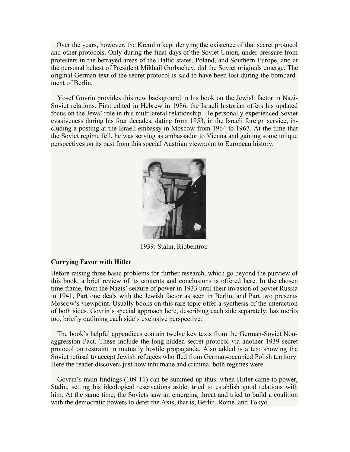Over the years, however, the Kremlin kept denying the existence of that secret protocol and other protocols. Only during the final days of the Soviet Union, under pressure from protesters in the betrayed areas of the Baltic states, Poland, and Southern Europe, and at the personal behest of President Mikhail Gorbachev, did the Soviet originals emerge. The original German text of the secret protocol is said to have been lost during the bombardment of Berlin.

Yosef Govrin provides this new background in his book on the Jewish factor in Nazi-Soviet relations. First edited in Hebrew in 1986, the Israeli historian offers his updated focus on the Jews' role in this multilateral relationship. He personally experienced Soviet evasiveness during his four decades, dating from 1953, in the Israeli foreign service, including a posting at the Israeli embassy in Moscow from 1964 to 1967. At the time that the Soviet regime fell, he was serving as ambassador to Vienna and gaining some unique perspectives on its past from this special Austrian viewpoint to European history.



1939: Stalin, Ribbentrop

### **Currying Favor with Hitler**

Before raising three basic problems for further research, which go beyond the purview of this book, a brief review of its contents and conclusions is offered here. In the chosen time frame, from the Nazis' seizure of power in 1933 until their invasion of Soviet Russia in 1941, Part one deals with the Jewish factor as seen in Berlin, and Part two presents Moscow's viewpoint. Usually books on this rare topic offer a synthesis of the interaction of both sides. Govrin's special approach here, describing each side separately, has merits too, briefly outlining each side's exclusive perspective.

The book's helpful appendices contain twelve key texts from the German-Soviet Nonaggression Pact. These include the long-hidden secret protocol via another 1939 secret protocol on restraint in mutually hostile propaganda. Also added is a text showing the Soviet refusal to accept Jewish refugees who fled from German-occupied Polish territory. Here the reader discovers just how inhumane and criminal both regimes were.

Govrin's main findings (109-11) can be summed up thus: when Hitler came to power, Stalin, setting his ideological reservations aside, tried to establish good relations with him. At the same time, the Soviets saw an emerging threat and tried to build a coalition with the democratic powers to deter the Axis, that is, Berlin, Rome, and Tokyo.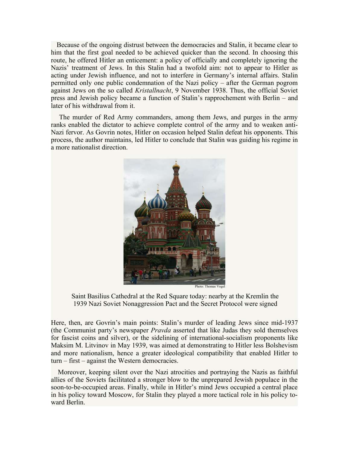Because of the ongoing distrust between the democracies and Stalin, it became clear to him that the first goal needed to be achieved quicker than the second. In choosing this route, he offered Hitler an enticement: a policy of officially and completely ignoring the Nazis' treatment of Jews. In this Stalin had a twofold aim: not to appear to Hitler as acting under Jewish influence, and not to interfere in Germany's internal affairs. Stalin permitted only one public condemnation of the Nazi policy – after the German pogrom against Jews on the so called *Kristallnacht*, 9 November 1938. Thus, the official Soviet press and Jewish policy became a function of Stalin's rapprochement with Berlin – and later of his withdrawal from it.

The murder of Red Army commanders, among them Jews, and purges in the army ranks enabled the dictator to achieve complete control of the army and to weaken anti-Nazi fervor. As Govrin notes, Hitler on occasion helped Stalin defeat his opponents. This process, the author maintains, led Hitler to conclude that Stalin was guiding his regime in a more nationalist direction.



 Saint Basilius Cathedral at the Red Square today: nearby at the Kremlin the 1939 Nazi Soviet Nonaggression Pact and the Secret Protocol were signed

Here, then, are Govrin's main points: Stalin's murder of leading Jews since mid-1937 (the Communist party's newspaper *Pravda* asserted that like Judas they sold themselves for fascist coins and silver), or the sidelining of international-socialism proponents like Maksim M. Litvinov in May 1939, was aimed at demonstrating to Hitler less Bolshevism and more nationalism, hence a greater ideological compatibility that enabled Hitler to turn – first – against the Western democracies.

Moreover, keeping silent over the Nazi atrocities and portraying the Nazis as faithful allies of the Soviets facilitated a stronger blow to the unprepared Jewish populace in the soon-to-be-occupied areas. Finally, while in Hitler's mind Jews occupied a central place in his policy toward Moscow, for Stalin they played a more tactical role in his policy toward Berlin.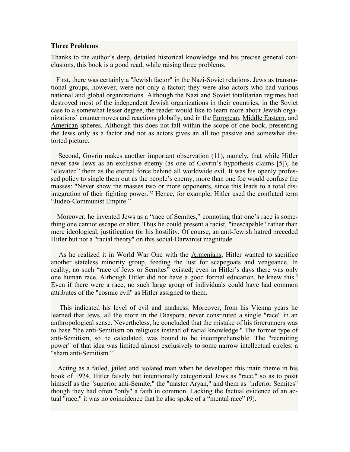#### **Three Problems**

Thanks to the author's deep, detailed historical knowledge and his precise general conclusions, this book is a good read, while raising three problems.

 First, there was certainly a "Jewish factor" in the Nazi-Soviet relations. Jews as transnational groups, however, were not only a factor; they were also actors who had various national and global organizations. Although the Nazi and Soviet totalitarian regimes had destroyed most of the independent Jewish organizations in their countries, in the Soviet case to a somewhat lesser degree, the reader would like to learn more about Jewish organizations' countermoves and reactions globally, and in the [European,](http://hsozkult.geschichte.hu-berlin.de/rezensionen/type=rezbuecher&id=11948) [Middle Eastern,](http://www.trafoberlin.de/pdf-dateien/2010_01_19/Goetz Nordbruch Hitler in the Levant.pdf) and [American](http://www.trafoberlin.de/pdf-dateien/2010_06_16/Richard Breitman McDonald Papers.pdf) spheres. Although this does not fall within the scope of one book, presenting the Jews only as a factor and not as actors gives an all too passive and somewhat distorted picture.

Second, Govrin makes another important observation (11), namely, that while Hitler never saw Jews as an exclusive enemy (as one of Govrin's hypothesis claims [5]), he "elevated" them as the eternal force behind all worldwide evil. It was his openly professed policy to single them out as the people's enemy; more than one foe would confuse the masses: "Never show the masses two or more opponents, since this leads to a total disintegration of their fighting power."<sup>2</sup> Hence, for example, Hitler used the conflated term "Judeo-Communist Empire."

Moreover, he invented Jews as a "race of Semites," connoting that one's race is something one cannot escape or alter. Thus he could present a racist, "inescapable" rather than mere ideological, justification for his hostility. Of course, an anti-Jewish hatred preceded Hitler but not a "racial theory" on this social-Darwinist magnitude.

As he realized it in World War One with the [Armenians,](http://www.trafoberlin.de/pdf-dateien/2010_06_16/Meir Litvak Esther Webman Arab Responses.pdf) Hitler wanted to sacrifice another stateless minority group, feeding the lust for scapegoats and vengeance. In reality, no such "race of Jews or Semites" existed; even in Hitler's days there was only one human race. Although Hitler did not have a good formal education, he knew this.<sup>3</sup> Even if there were a race, no such large group of individuals could have had common attributes of the "cosmic evil" as Hitler assigned to them.

This indicated his level of evil and madness. Moreover, from his Vienna years he learned that Jews, all the more in the Diaspora, never constituted a single "race" in an anthropological sense. Nevertheless, he concluded that the mistake of his forerunners was to base "the anti-Semitism on religious instead of racial knowledge." The former type of anti-Semitism, so he calculated, was bound to be incomprehensible. The "recruiting power" of that idea was limited almost exclusively to some narrow intellectual circles: a "sham anti-Semitism."<sup>4</sup>

Acting as a failed, jailed and isolated man when he developed this main theme in his book of 1924, Hitler falsely but intentionally categorized Jews as "race," so as to posit himself as the "superior anti-Semite," the "master Aryan," and them as "inferior Semites" though they had often "only" a faith in common. Lacking the factual evidence of an actual "race," it was no coincidence that he also spoke of a "mental race" (9).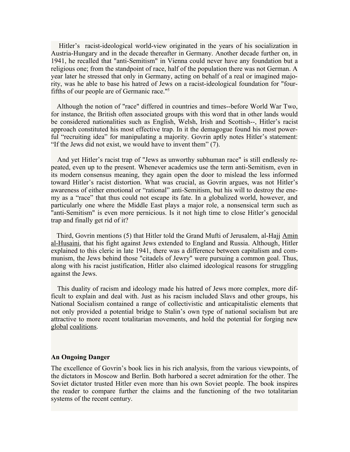Hitler's racist-ideological world-view originated in the years of his socialization in Austria-Hungary and in the decade thereafter in Germany. Another decade further on, in 1941, he recalled that "anti-Semitism" in Vienna could never have any foundation but a religious one; from the standpoint of race, half of the population there was not German. A year later he stressed that only in Germany, acting on behalf of a real or imagined majority, was he able to base his hatred of Jews on a racist-ideological foundation for "fourfifths of our people are of Germanic race."<sup>5</sup>

Although the notion of "race" differed in countries and times--before World War Two, for instance, the British often associated groups with this word that in other lands would be considered nationalities such as English, Welsh, Irish and Scottish--, Hitler's racist approach constituted his most effective trap. In it the demagogue found his most powerful "recruiting idea" for manipulating a majority. Govrin aptly notes Hitler's statement: "If the Jews did not exist, we would have to invent them" (7).

And yet Hitler's racist trap of "Jews as unworthy subhuman race" is still endlessly repeated, even up to the present. Whenever academics use the term anti-Semitism, even in its modern consensus meaning, they again open the door to mislead the less informed toward Hitler's racist distortion. What was crucial, as Govrin argues, was not Hitler's awareness of either emotional or "rational" anti-Semitism, but his will to destroy the enemy as a "race" that thus could not escape its fate. In a globalized world, however, and particularly one where the Middle East plays a major role, a nonsensical term such as "anti-Semitism" is even more pernicious. Is it not high time to close Hitler's genocidal trap and finally get rid of it?

Third, Govrin mentions (5) that Hitler told the Grand Mufti of Jerusalem, al-Hajj [Amin](http://www.trafoberlin.de/pdf-Neu/Amin al-Husaini and the Holocaust.pdf) [al-Husaini,](http://www.trafoberlin.de/pdf-dateien/2009_04_19/Wolfgang G Schwanitz Sheik And Shoah.pdf) that his fight against Jews extended to England and Russia. Although, Hitler explained to this cleric in late 1941, there was a difference between capitalism and communism, the Jews behind those "citadels of Jewry" were pursuing a common goal. Thus, along with his racist justification, Hitler also claimed ideological reasons for struggling against the Jews.

This duality of racism and ideology made his hatred of Jews more complex, more difficult to explain and deal with. Just as his racism included Slavs and other groups, his National Socialism contained a range of collectivistic and anticapitalistic elements that not only provided a potential bridge to Stalin's own type of national socialism but are attractive to more recent totalitarian movements, and hold the potential for forging new [global](http://www.trafoberlin.de/pdf-dateien/Fritz Grobba Germany Middle  East.pdf) [coalitions.](http://www.trafoberlin.de/pdf-dateien/2010_06_16/Gerald Steinacher Nazis.pdf)

#### **An Ongoing Danger**

The excellence of Govrin's book lies in his rich analysis, from the various viewpoints, of the dictators in Moscow and Berlin. Both harbored a secret admiration for the other. The Soviet dictator trusted Hitler even more than his own Soviet people. The book inspires the reader to compare further the claims and the functioning of the two totalitarian systems of the recent century.